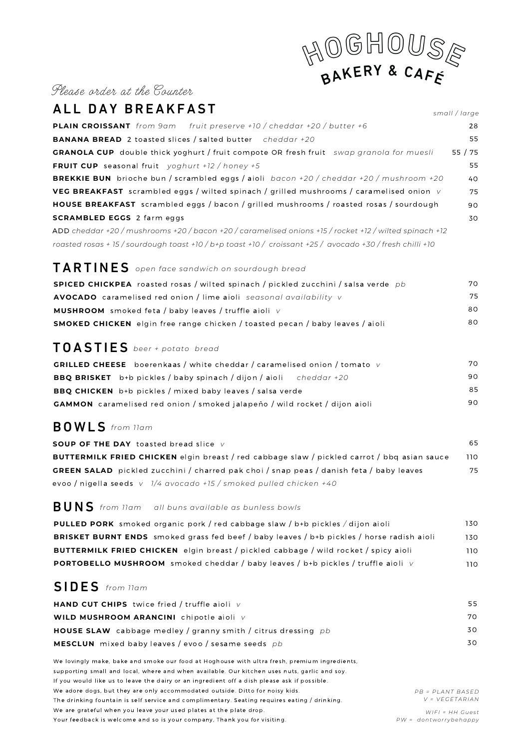# BAKERY & CAFE

#### Please order at the Counter

| ALL DAY BREAKFAST                                                                                         | small / large |
|-----------------------------------------------------------------------------------------------------------|---------------|
| <b>PLAIN CROISSANT</b> from 9am fruit preserve +10 / cheddar +20 / butter +6                              | 28            |
| <b>BANANA BREAD</b> 2 toasted slices / salted butter cheddar +20                                          | 55            |
| <b>GRANOLA CUP</b> double thick yoghurt / fruit compote OR fresh fruit swap granola for muesli            | 55/75         |
| <b>FRUIT CUP</b> seasonal fruit yoghurt +12 / honey +5                                                    | 55            |
| <b>BREKKIE BUN</b> brioche bun / scrambled eggs / aioli bacon +20 / cheddar +20 / mushroom +20            | 40            |
| VEG BREAKFAST scrambled eggs / wilted spinach / grilled mushrooms / caramelised onion v                   | 75            |
| <b>HOUSE BREAKFAST</b> scrambled eggs / bacon / grilled mushrooms / roasted rosas / sourdough             | 90            |
| <b>SCRAMBLED EGGS</b> 2 farm eggs                                                                         | 30            |
| ADD cheddar +20 / mushrooms +20 / bacon +20 / caramelised onions +15 / rocket +12 / wilted spinach +12    |               |
| roasted rosas + 15 / sourdough toast +10 / b+p toast +10 / croissant +25 / avocado +30 / fresh chilli +10 |               |
| $TARTINES$ open face sandwich on sourdough bread                                                          |               |
| <b>SPICED CHICKPEA</b> roasted rosas / wilted spinach / pickled zucchini / salsa verde pb                 | 70            |
| AVOCADO caramelised red onion / lime aioli seasonal availability v                                        | 75            |
| <b>MUSHROOM</b> smoked feta / baby leaves / truffle aioli v                                               | 80            |
| <b>SMOKED CHICKEN</b> elgin free range chicken / toasted pecan / baby leaves / aioli                      | 80            |
| <b>TOASTIES</b> beer + potato bread                                                                       |               |
| <b>GRILLED CHEESE</b> boerenkaas / white cheddar / caramelised onion / tomato $V$                         | 70.           |
| <b>BBQ BRISKET</b> b+b pickles / baby spinach / dijon / aioli<br>cheddar +20                              | 90            |
| <b>BBQ CHICKEN</b> b+b pickles / mixed baby leaves / salsa verde                                          | 85            |
| <b>GAMMON</b> caramelised red onion / smoked jalapeño / wild rocket / dijon aioli                         | 90            |

## BO W L S *from 11am*

| <b>SOUP OF THE DAY</b> toasted bread slice v                                                       | 65. |
|----------------------------------------------------------------------------------------------------|-----|
| <b>BUTTERMILK FRIED CHICKEN</b> elgin breast / red cabbage slaw / pickled carrot / bbg asian sauce | 110 |
| <b>GREEN SALAD</b> pickled zucchini / charred pak choi / snap peas / danish feta / baby leaves     | 75  |
| evoo / nigella seeds $v$ 1/4 avocado +15 / smoked pulled chicken +40                               |     |

### BUNS *from 11am all buns available as bunless bowls*

| <b>PULLED PORK</b> smoked organic pork / red cabbage slaw / b+b pickles / dijon aioli            | 130 |
|--------------------------------------------------------------------------------------------------|-----|
| <b>BRISKET BURNT ENDS</b> smoked grass fed beef / baby leaves / b+b pickles / horse radish aioli | 130 |
| <b>BUTTERMILK FRIED CHICKEN</b> elgin breast / pickled cabbage / wild rocket / spicy aioli       | 110 |
| <b>PORTOBELLO MUSHROOM</b> smoked cheddar / baby leaves / b+b pickles / truffle aioli v          | 110 |

### S IDE S *from 11am*

| <b>HAND CUT CHIPS</b> twice fried / truffle aioli $V$                | 55. |
|----------------------------------------------------------------------|-----|
| WILD MUSHROOM ARANCINI chipotle aioli v                              | 70. |
| <b>HOUSE SLAW</b> cabbage medley / granny smith / citrus dressing pb | 30. |
| <b>MESCLUN</b> mixed baby leaves / evoo / sesame seeds pb            | 30. |

We lovingly make, bake and smoke our food at Hoghouse with ultra fresh, premium ingredients, supporting small and local, where and when available. Our kitchen uses nuts, garlic and soy. If you would like us to leave the dairy or an ingredient off a dish please ask if possible. We adore dogs, but they are only accommodated outside. Ditto for noisy kids. The drinking fountain is self service and complimentary. Seating requires eating / drinking. We are grateful when you leave your used plates at the plate drop. Your feedback is welcome and so is your company, Thank you for visiting.

*P B = P L A N T B A SE D V = VEGET A R I A N*